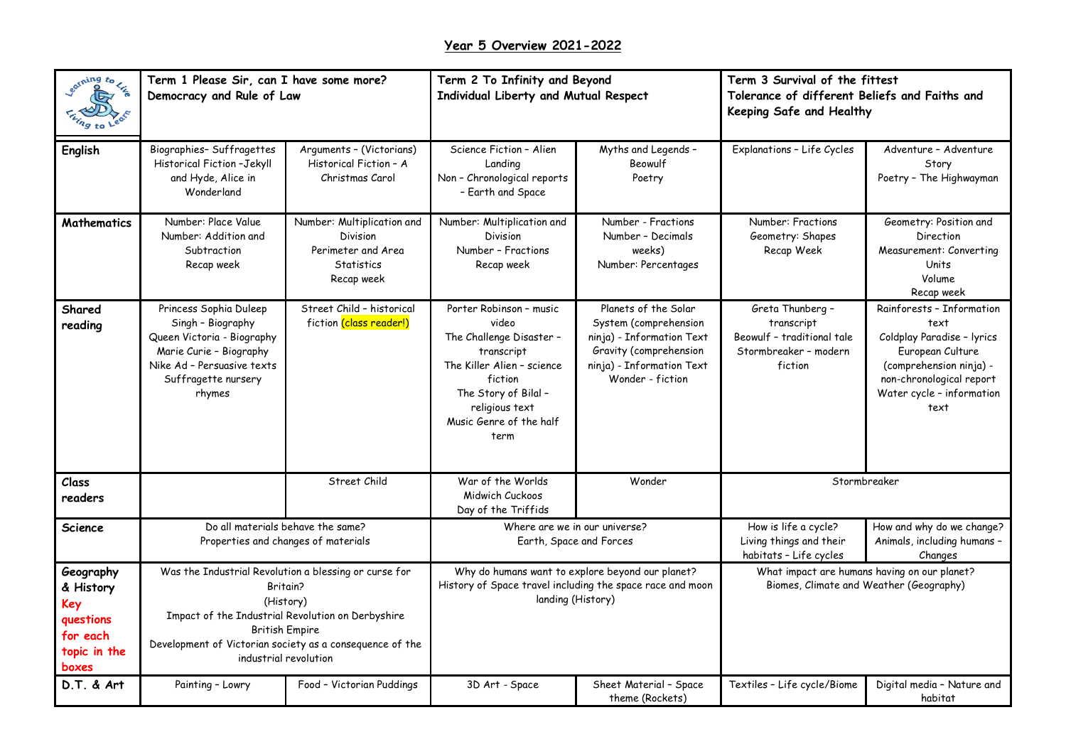## **Year 5 Overview 2021-2022**

| earning to Lize                                                                 | Term 1 Please Sir, can I have some more?<br>Democracy and Rule of Law                                                                                                                                                                             |                                                                                                 | Term 2 To Infinity and Beyond<br>Individual Liberty and Mutual Respect                                                                                                                           |                                                                                                                                                       | Term 3 Survival of the fittest<br>Tolerance of different Beliefs and Faiths and<br>Keeping Safe and Healthy |                                                                                                                                                                                 |
|---------------------------------------------------------------------------------|---------------------------------------------------------------------------------------------------------------------------------------------------------------------------------------------------------------------------------------------------|-------------------------------------------------------------------------------------------------|--------------------------------------------------------------------------------------------------------------------------------------------------------------------------------------------------|-------------------------------------------------------------------------------------------------------------------------------------------------------|-------------------------------------------------------------------------------------------------------------|---------------------------------------------------------------------------------------------------------------------------------------------------------------------------------|
| <b>English</b>                                                                  | Biographies-Suffragettes<br>Historical Fiction-Jekyll<br>and Hyde, Alice in<br>Wonderland                                                                                                                                                         | Arguments - (Victorians)<br>Historical Fiction - A<br>Christmas Carol                           | Science Fiction - Alien<br>Landina<br>Non - Chronological reports<br>- Earth and Space                                                                                                           | Myths and Legends -<br>Beowulf<br>Poetry                                                                                                              | Explanations - Life Cycles                                                                                  | Adventure - Adventure<br>Story<br>Poetry - The Highwayman                                                                                                                       |
| <b>Mathematics</b>                                                              | Number: Place Value<br>Number: Addition and<br>Subtraction<br>Recap week                                                                                                                                                                          | Number: Multiplication and<br>Division<br>Perimeter and Area<br><b>Statistics</b><br>Recap week | Number: Multiplication and<br>Division<br>Number - Fractions<br>Recap week                                                                                                                       | Number - Fractions<br>Number - Decimals<br>weeks)<br>Number: Percentages                                                                              | Number: Fractions<br>Geometry: Shapes<br>Recap Week                                                         | Geometry: Position and<br>Direction<br>Measurement: Converting<br>Units<br>Volume<br>Recap week                                                                                 |
| Shared<br>reading                                                               | Princess Sophia Duleep<br>Singh - Biography<br>Queen Victoria - Biography<br>Marie Curie - Biography<br>Nike Ad - Persuasive texts<br>Suffragette nursery<br>rhymes                                                                               | Street Child - historical<br>fiction (class reader!)                                            | Porter Robinson - music<br>video<br>The Challenge Disaster -<br>transcript<br>The Killer Alien - science<br>fiction<br>The Story of Bilal -<br>religious text<br>Music Genre of the half<br>term | Planets of the Solar<br>System (comprehension<br>ninja) - Information Text<br>Gravity (comprehension<br>ninja) - Information Text<br>Wonder - fiction | Greta Thunberg -<br>transcript<br>Beowulf - traditional tale<br>Stormbreaker - modern<br>fiction            | Rainforests - Information<br>text<br>Coldplay Paradise - lyrics<br>European Culture<br>(comprehension ninja) -<br>non-chronological report<br>Water cycle - information<br>text |
| Class<br>readers                                                                |                                                                                                                                                                                                                                                   | Street Child                                                                                    | War of the Worlds<br>Midwich Cuckoos<br>Day of the Triffids                                                                                                                                      | Wonder                                                                                                                                                | Stormbreaker                                                                                                |                                                                                                                                                                                 |
| <b>Science</b>                                                                  | Do all materials behave the same?<br>Properties and changes of materials                                                                                                                                                                          |                                                                                                 | Where are we in our universe?<br>Earth, Space and Forces                                                                                                                                         |                                                                                                                                                       | How is life a cycle?<br>Living things and their<br>habitats - Life cycles                                   | How and why do we change?<br>Animals, including humans -<br>Changes                                                                                                             |
| Geography<br>& History<br>Key<br>questions<br>for each<br>topic in the<br>boxes | Was the Industrial Revolution a blessing or curse for<br>Britain?<br>(History)<br>Impact of the Industrial Revolution on Derbyshire<br><b>British Empire</b><br>Development of Victorian society as a consequence of the<br>industrial revolution |                                                                                                 | Why do humans want to explore beyond our planet?<br>History of Space travel including the space race and moon<br>landing (History)                                                               |                                                                                                                                                       | What impact are humans having on our planet?<br>Biomes, Climate and Weather (Geography)                     |                                                                                                                                                                                 |
| D.T. & Art                                                                      | Painting - Lowry                                                                                                                                                                                                                                  | Food - Victorian Puddings                                                                       | 3D Art - Space                                                                                                                                                                                   | Sheet Material - Space<br>theme (Rockets)                                                                                                             | Textiles - Life cycle/Biome                                                                                 | Digital media - Nature and<br>habitat                                                                                                                                           |